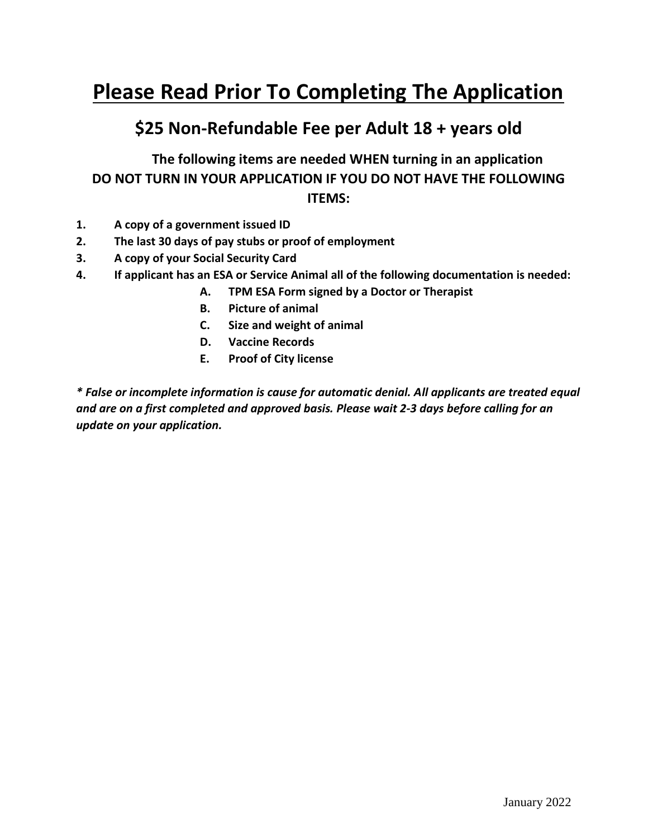# **Please Read Prior To Completing The Application**

## **\$25 Non-Refundable Fee per Adult 18 + years old**

**The following items are needed WHEN turning in an application DO NOT TURN IN YOUR APPLICATION IF YOU DO NOT HAVE THE FOLLOWING ITEMS:**

- **1. A copy of a government issued ID**
- **2. The last 30 days of pay stubs or proof of employment**
- **3. A copy of your Social Security Card**
- **4. If applicant has an ESA or Service Animal all of the following documentation is needed:**
	- **A. TPM ESA Form signed by a Doctor or Therapist**
	- **B. Picture of animal**
	- **C. Size and weight of animal**
	- **D. Vaccine Records**
	- **E. Proof of City license**

*\* False or incomplete information is cause for automatic denial. All applicants are treated equal and are on a first completed and approved basis. Please wait 2-3 days before calling for an update on your application.*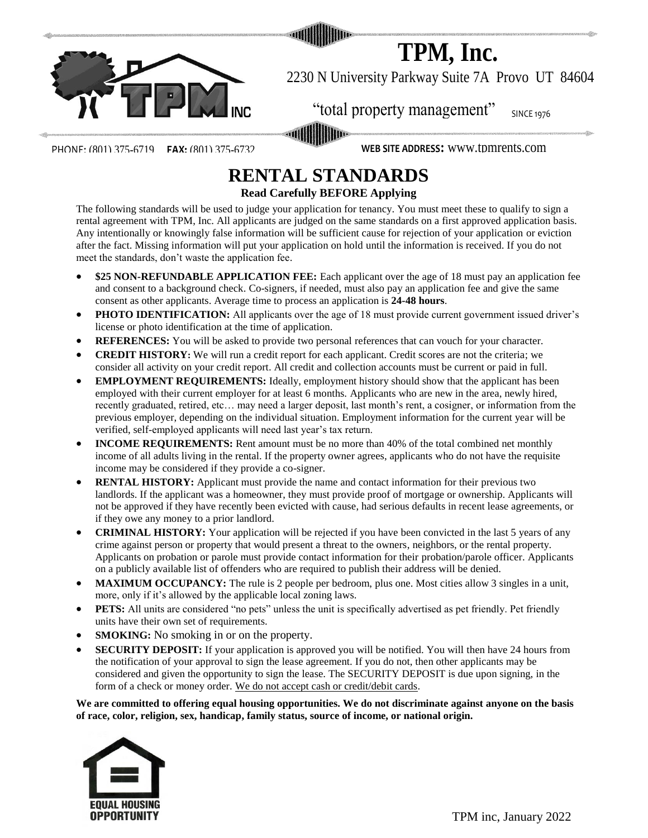

**TPM, Inc.**

2230 N University Parkway Suite 7A Provo UT 84604

PHONE: (801) 375-6719 **FAX:** (801) 375-6732 **WEB SITE ADDRESS:** www.tpmrents.com

## **RENTAL STANDARDS Read Carefully BEFORE Applying**

"Total property management" SINCE 1976<br>
WEB SITE ADDRESS: WWW.tpmrents.com<br>
WEB SITE ADDRESS: WWW.tpmrents.com<br>
SITE ADDRESS: WWW.tpmrents.com<br>
SITE CORD AQUIS<br>
SURFORE Applying<br>
Reaction for tenang-standards on a first ap The following standards will be used to judge your application for tenancy. You must meet these to qualify to sign a rental agreement with TPM, Inc. All applicants are judged on the same standards on a first approved application basis. Any intentionally or knowingly false information will be sufficient cause for rejection of your application or eviction after the fact. Missing information will put your application on hold until the information is received. If you do not meet the standards, don't waste the application fee.

- **\$25 NON-REFUNDABLE APPLICATION FEE:** Each applicant over the age of 18 must pay an application fee and consent to a background check. Co-signers, if needed, must also pay an application fee and give the same consent as other applicants. Average time to process an application is **24-48 hours**.
- PHOTO IDENTIFICATION: All applicants over the age of 18 must provide current government issued driver's license or photo identification at the time of application.
- **REFERENCES:** You will be asked to provide two personal references that can vouch for your character.
- **CREDIT HISTORY:** We will run a credit report for each applicant. Credit scores are not the criteria; we consider all activity on your credit report. All credit and collection accounts must be current or paid in full.
- **EMPLOYMENT REQUIREMENTS:** Ideally, employment history should show that the applicant has been employed with their current employer for at least 6 months. Applicants who are new in the area, newly hired, recently graduated, retired, etc… may need a larger deposit, last month's rent, a cosigner, or information from the previous employer, depending on the individual situation. Employment information for the current year will be verified, self-employed applicants will need last year's tax return.
- **INCOME REQUIREMENTS:** Rent amount must be no more than 40% of the total combined net monthly income of all adults living in the rental. If the property owner agrees, applicants who do not have the requisite income may be considered if they provide a co-signer.
- **RENTAL HISTORY:** Applicant must provide the name and contact information for their previous two landlords. If the applicant was a homeowner, they must provide proof of mortgage or ownership. Applicants will not be approved if they have recently been evicted with cause, had serious defaults in recent lease agreements, or if they owe any money to a prior landlord.
- **CRIMINAL HISTORY:** Your application will be rejected if you have been convicted in the last 5 years of any crime against person or property that would present a threat to the owners, neighbors, or the rental property. Applicants on probation or parole must provide contact information for their probation/parole officer. Applicants on a publicly available list of offenders who are required to publish their address will be denied.
- **MAXIMUM OCCUPANCY:** The rule is 2 people per bedroom, plus one. Most cities allow 3 singles in a unit, more, only if it's allowed by the applicable local zoning laws.
- **PETS:** All units are considered "no pets" unless the unit is specifically advertised as pet friendly. Pet friendly units have their own set of requirements.
- **SMOKING:** No smoking in or on the property.
- **SECURITY DEPOSIT:** If your application is approved you will be notified. You will then have 24 hours from the notification of your approval to sign the lease agreement. If you do not, then other applicants may be considered and given the opportunity to sign the lease. The SECURITY DEPOSIT is due upon signing, in the form of a check or money order. We do not accept cash or credit/debit cards.

**We are committed to offering equal housing opportunities. We do not discriminate against anyone on the basis of race, color, religion, sex, handicap, family status, source of income, or national origin.**

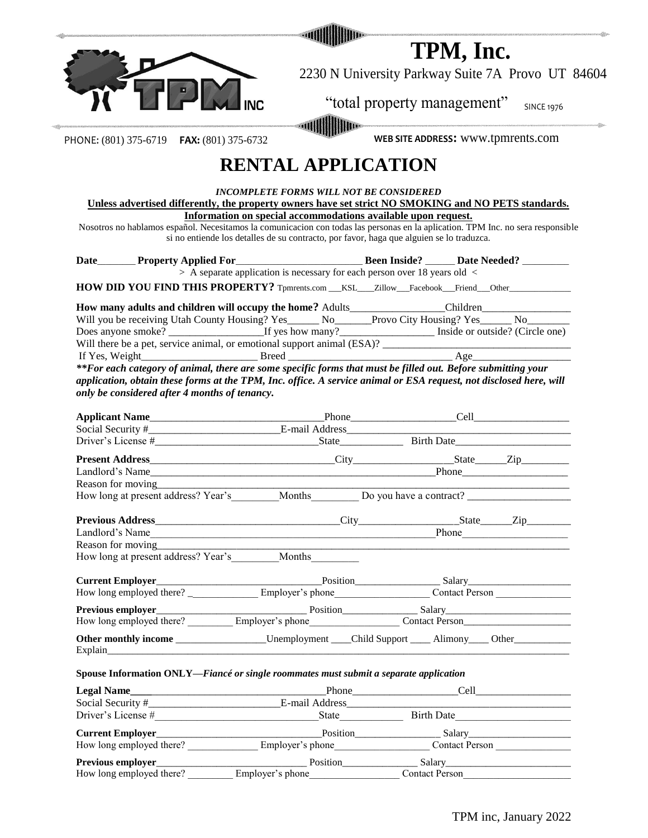|                                                                                                                                  | TPM, Inc.                                                                                                                                       |                                                   |                                                  |  |  |  |
|----------------------------------------------------------------------------------------------------------------------------------|-------------------------------------------------------------------------------------------------------------------------------------------------|---------------------------------------------------|--------------------------------------------------|--|--|--|
|                                                                                                                                  |                                                                                                                                                 | 2230 N University Parkway Suite 7A Provo UT 84604 |                                                  |  |  |  |
|                                                                                                                                  |                                                                                                                                                 | "total property management" SINCE 1976            |                                                  |  |  |  |
| PHONE: (801) 375-6719  FAX: (801) 375-6732                                                                                       |                                                                                                                                                 | WEB SITE ADDRESS: WWW.tpmrents.com                |                                                  |  |  |  |
|                                                                                                                                  | <b>RENTAL APPLICATION</b>                                                                                                                       |                                                   |                                                  |  |  |  |
|                                                                                                                                  | INCOMPLETE FORMS WILL NOT BE CONSIDERED<br>Unless advertised differently, the property owners have set strict NO SMOKING and NO PETS standards. |                                                   |                                                  |  |  |  |
|                                                                                                                                  | Information on special accommodations available upon request.                                                                                   |                                                   |                                                  |  |  |  |
| Nosotros no hablamos español. Necesitamos la comunicacion con todas las personas en la aplication. TPM Inc. no sera responsible  | si no entiende los detalles de su contracto, por favor, haga que alguien se lo traduzca.                                                        |                                                   |                                                  |  |  |  |
| Date Property Applied For<br>> A separate application is necessary for each person over 18 years old <                           |                                                                                                                                                 |                                                   |                                                  |  |  |  |
| HOW DID YOU FIND THIS PROPERTY? Tpmrents.com __KSL__Zillow__Facebook__Friend__Other_________________                             |                                                                                                                                                 |                                                   |                                                  |  |  |  |
| How many adults and children will occupy the home? Adults_______________Children____________________                             |                                                                                                                                                 |                                                   |                                                  |  |  |  |
| Will you be receiving Utah County Housing? Yes_____ No_____Provo City Housing? Yes_____ No______                                 |                                                                                                                                                 |                                                   |                                                  |  |  |  |
|                                                                                                                                  |                                                                                                                                                 |                                                   |                                                  |  |  |  |
| Will there be a pet, service animal, or emotional support animal (ESA)?                                                          |                                                                                                                                                 |                                                   |                                                  |  |  |  |
|                                                                                                                                  |                                                                                                                                                 |                                                   |                                                  |  |  |  |
| **For each category of animal, there are some specific forms that must be filled out. Before submitting your                     |                                                                                                                                                 |                                                   |                                                  |  |  |  |
| application, obtain these forms at the TPM, Inc. office. A service animal or ESA request, not disclosed here, will               |                                                                                                                                                 |                                                   |                                                  |  |  |  |
| only be considered after 4 months of tenancy.                                                                                    |                                                                                                                                                 |                                                   |                                                  |  |  |  |
|                                                                                                                                  |                                                                                                                                                 |                                                   |                                                  |  |  |  |
|                                                                                                                                  |                                                                                                                                                 |                                                   |                                                  |  |  |  |
|                                                                                                                                  |                                                                                                                                                 |                                                   |                                                  |  |  |  |
|                                                                                                                                  |                                                                                                                                                 |                                                   |                                                  |  |  |  |
| Reason for moving<br><u>example</u>                                                                                              |                                                                                                                                                 |                                                   | the control of the control of the control of the |  |  |  |
| How long at present address? Year's ________ Months ________ Do you have a contract? _________                                   |                                                                                                                                                 |                                                   |                                                  |  |  |  |
|                                                                                                                                  |                                                                                                                                                 |                                                   |                                                  |  |  |  |
|                                                                                                                                  |                                                                                                                                                 |                                                   |                                                  |  |  |  |
|                                                                                                                                  |                                                                                                                                                 |                                                   |                                                  |  |  |  |
| How long at present address? Year's Months                                                                                       |                                                                                                                                                 |                                                   |                                                  |  |  |  |
|                                                                                                                                  |                                                                                                                                                 |                                                   |                                                  |  |  |  |
|                                                                                                                                  |                                                                                                                                                 |                                                   |                                                  |  |  |  |
|                                                                                                                                  |                                                                                                                                                 |                                                   |                                                  |  |  |  |
| Previous employer<br>How long employed there?<br><u>Employer's phone</u><br>Employer's phone<br>Contact Person<br>Contact Person |                                                                                                                                                 |                                                   |                                                  |  |  |  |
| Other monthly income ___________________Unemployment ____Child Support _____Alimony____Other__________________                   |                                                                                                                                                 |                                                   |                                                  |  |  |  |
| Spouse Information ONLY—Fiancé or single roommates must submit a separate application                                            |                                                                                                                                                 |                                                   |                                                  |  |  |  |
|                                                                                                                                  |                                                                                                                                                 |                                                   |                                                  |  |  |  |
|                                                                                                                                  |                                                                                                                                                 |                                                   |                                                  |  |  |  |
|                                                                                                                                  |                                                                                                                                                 |                                                   |                                                  |  |  |  |
|                                                                                                                                  |                                                                                                                                                 |                                                   |                                                  |  |  |  |
|                                                                                                                                  |                                                                                                                                                 |                                                   |                                                  |  |  |  |
|                                                                                                                                  |                                                                                                                                                 |                                                   |                                                  |  |  |  |